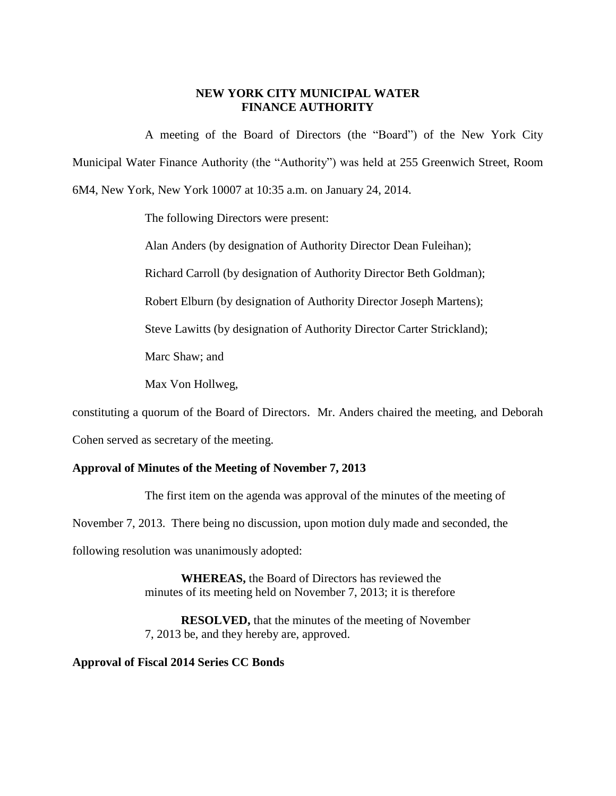## **NEW YORK CITY MUNICIPAL WATER FINANCE AUTHORITY**

A meeting of the Board of Directors (the "Board") of the New York City Municipal Water Finance Authority (the "Authority") was held at 255 Greenwich Street, Room 6M4, New York, New York 10007 at 10:35 a.m. on January 24, 2014.

The following Directors were present:

Alan Anders (by designation of Authority Director Dean Fuleihan);

Richard Carroll (by designation of Authority Director Beth Goldman);

Robert Elburn (by designation of Authority Director Joseph Martens);

Steve Lawitts (by designation of Authority Director Carter Strickland);

Marc Shaw; and

Max Von Hollweg,

constituting a quorum of the Board of Directors. Mr. Anders chaired the meeting, and Deborah

Cohen served as secretary of the meeting.

## **Approval of Minutes of the Meeting of November 7, 2013**

The first item on the agenda was approval of the minutes of the meeting of November 7, 2013. There being no discussion, upon motion duly made and seconded, the following resolution was unanimously adopted:

> **WHEREAS,** the Board of Directors has reviewed the minutes of its meeting held on November 7, 2013; it is therefore

**RESOLVED,** that the minutes of the meeting of November 7, 2013 be, and they hereby are, approved.

## **Approval of Fiscal 2014 Series CC Bonds**